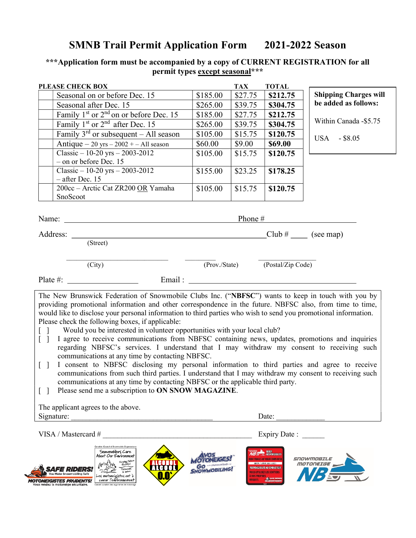## SMNB Trail Permit Application Form 2021-2022 Season

## \*\*\*Application form must be accompanied by a copy of CURRENT REGISTRATION for all permit types except seasonal\*\*\*

| <b>PLEASE CHECK BOX</b>                                |          | <b>TAX</b> | <b>TOTAL</b> |                              |
|--------------------------------------------------------|----------|------------|--------------|------------------------------|
| Seasonal on or before Dec. 15                          | \$185.00 | \$27.75    | \$212.75     | <b>Shipping Charges will</b> |
| Seasonal after Dec. 15                                 | \$265.00 | \$39.75    | \$304.75     | be added as follows:         |
| Family $1st$ or $2nd$ on or before Dec. 15             | \$185.00 | \$27.75    | \$212.75     |                              |
| Family $1st$ or $2nd$ after Dec. 15                    | \$265.00 | \$39.75    | \$304.75     | Within Canada - \$5.75       |
| Family $3^{rd}$ or subsequent – All season             | \$105.00 | \$15.75    | \$120.75     | $-$ \$8.05<br>USA            |
| Antique $-20$ yrs $-2002 + -$ All season               | \$60.00  | \$9.00     | \$69.00      |                              |
| Classic $-10-20$ yrs $-2003-2012$                      | \$105.00 | \$15.75    | \$120.75     |                              |
| $-$ on or before Dec. 15                               |          |            |              |                              |
| Classic $-10-20$ yrs $-2003-2012$<br>$-$ after Dec. 15 | \$155.00 | \$23.25    | \$178.25     |                              |
| 200cc - Arctic Cat ZR200 OR Yamaha                     | \$105.00 | \$15.75    | \$120.75     |                              |
| SnoScoot                                               |          |            |              |                              |
|                                                        |          |            |              |                              |
| Name:                                                  |          | Phone $#$  |              |                              |
| Address:                                               |          |            | $Club \#$    | (see map)                    |

(Street)

(City) (Prov./State) (Postal/Zip Code)

Plate #: Email :

The New Brunswick Federation of Snowmobile Clubs Inc. ("NBFSC") wants to keep in touch with you by providing promotional information and other correspondence in the future. NBFSC also, from time to time, would like to disclose your personal information to third parties who wish to send you promotional information. Please check the following boxes, if applicable:

- [ ] Would you be interested in volunteer opportunities with your local club?
- [ ] I agree to receive communications from NBFSC containing news, updates, promotions and inquiries regarding NBFSC's services. I understand that I may withdraw my consent to receiving such communications at any time by contacting NBFSC.
- [ ] I consent to NBFSC disclosing my personal information to third parties and agree to receive communications from such third parties. I understand that I may withdraw my consent to receiving such communications at any time by contacting NBFSC or the applicable third party.
- [ ] Please send me a subscription to **ON SNOW MAGAZINE**.

The applicant agrees to the above. Signature:  $\Box$ 

VISA / Mastercard # \_\_\_\_\_\_\_\_\_\_\_\_\_\_\_\_\_\_\_\_\_\_\_\_\_\_\_\_\_\_\_\_\_\_\_\_\_\_\_\_ Expiry Date : \_\_\_\_\_\_